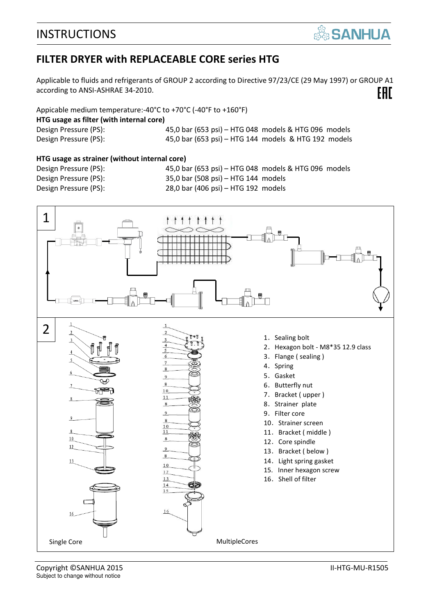

#### **FILTER DRYER with REPLACEABLE CORE series HTG**

Applicable to fluids and refrigerants of GROUP 2 according to Directive 97/23/CE (29 May 1997) or GROUP A1 EAC according to ANSI-ASHRAE 34-2010.

Appicable medium temperature:-40°C to +70°C (-40°F to +160°F) **HTG usage as filter (with internal core)**  Design Pressure (PS): 45,0 bar (653 psi) – HTG 048 models & HTG 096 models Design Pressure (PS): 45,0 bar (653 psi) – HTG 144 models & HTG 192 models

#### **HTG usage as strainer (without internal core)**

Design Pressure (PS): 45,0 bar (653 psi) – HTG 048 models & HTG 096 models Design Pressure (PS): 35,0 bar (508 psi) – HTG 144 models Design Pressure (PS): 28,0 bar (406 psi) – HTG 192 models



Copyright ©SANHUA 2015 II-HTG-MU-R1505 Subject to change without notice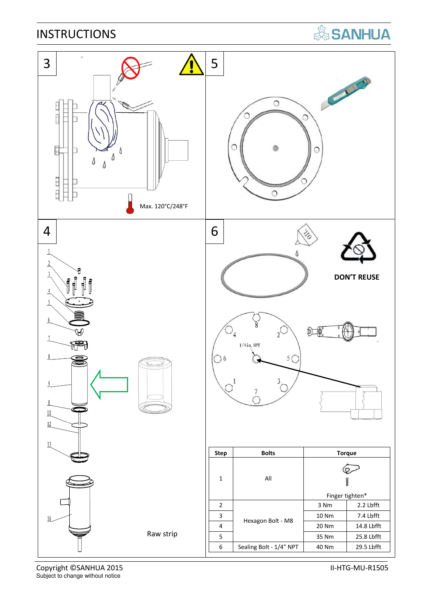# **SANHUA**



Copyright ©SANHUA 2015 **II-HTG-MU-R1505** Subject to change without notice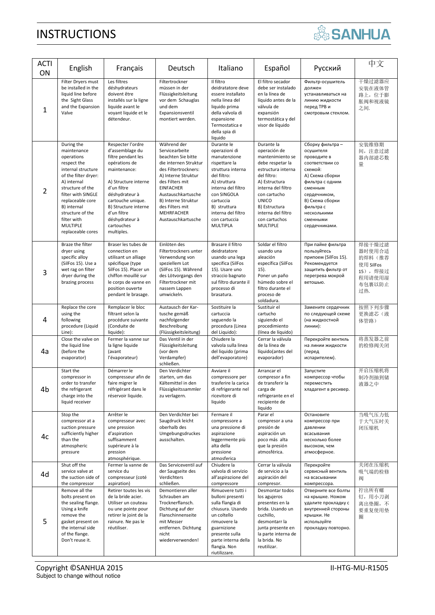| <b>SANHUA</b> |  |  |
|---------------|--|--|
|               |  |  |
|               |  |  |

| <b>ACTI</b><br>ON | English                                                                                                                                                                                                                                                                     | Français                                                                                                                                                                                                                                                       | Deutsch                                                                                                                                                                                                                                                                | Italiano                                                                                                                                                                                                                              | Español                                                                                                                                                                                                                                            | Русский                                                                                                                                                                                                                 | 中文                                                                             |
|-------------------|-----------------------------------------------------------------------------------------------------------------------------------------------------------------------------------------------------------------------------------------------------------------------------|----------------------------------------------------------------------------------------------------------------------------------------------------------------------------------------------------------------------------------------------------------------|------------------------------------------------------------------------------------------------------------------------------------------------------------------------------------------------------------------------------------------------------------------------|---------------------------------------------------------------------------------------------------------------------------------------------------------------------------------------------------------------------------------------|----------------------------------------------------------------------------------------------------------------------------------------------------------------------------------------------------------------------------------------------------|-------------------------------------------------------------------------------------------------------------------------------------------------------------------------------------------------------------------------|--------------------------------------------------------------------------------|
| 1                 | Filter Dryers must<br>be installed in the<br>liquid line before<br>the Sight Glass<br>and the Expansion<br>Valve                                                                                                                                                            | Les filtres<br>déshydrateurs<br>doivent être<br>installés sur la ligne<br>liquide avant le<br>voyant liquide et le<br>détendeur.                                                                                                                               | Filtertrockner<br>müssen in der<br>Flüssigkeitsleitung<br>vor dem Schauglas<br>und dem<br>Expansionsventil<br>montiert werden.                                                                                                                                         | Il filtro<br>deidratatore deve<br>essere installato<br>nella linea del<br>liquido prima<br>della valvola di<br>espansione<br>Termostatica e<br>della spia di<br>liquido                                                               | El filtro secador<br>debe ser instalado<br>en la línea de<br>líquido antes de la<br>válvula de<br>expansión<br>termostática y del<br>visor de líquido                                                                                              | Фильтр-осушитель<br>должен<br>устанавливаться на<br>линию жидкости<br>перед ТРВ и<br>смотровым стеклом.                                                                                                                 | 干燥过滤器应<br>安装在液体管<br>路上, 位于膨<br>胀阀和视液镜<br>之间.                                   |
| 2                 | During the<br>maintenance<br>operations<br>respect the<br>internal structure<br>of the filter dryer:<br>A) internal<br>structure of the<br>filter with SINGLE<br>replaceable core<br>B) internal<br>structure of the<br>filter with<br><b>MULTIPLE</b><br>replaceable cores | Respecter l'ordre<br>d'assemblage du<br>filtre pendant les<br>opérations de<br>maintenance:<br>A) Structure interne<br>d'un filtre<br>déshydrateur à<br>cartouche unique.<br>B) Structure interne<br>d'un filtre<br>déshydrateur à<br>cartouches<br>multiples. | Während der<br>Servicearbeite<br>beachten Sie bitte<br>die internen Struktur<br>des Filtertrockners:<br>A) Interne Struktur<br>des Filters mit<br><b>EINFACHER</b><br>Austauschkartusche<br>B) Interne Struktur<br>des Filters mit<br>MEHRFACHER<br>Austauschkartusche | Durante le<br>operazioni di<br>manutenzione<br>rispettare la<br>struttura interna<br>del filtro:<br>A) struttura<br>interna del filtro<br>con SINGOLA<br>cartuccia<br>B) struttura<br>interna del filtro<br>con cartuccia<br>MULTIPLA | Durante la<br>operación de<br>mantenimiento se<br>debe respetar la<br>estructura interna<br>del filtro:<br>A) Estructura<br>interna del filtro<br>con cartucho<br><b>UNICO</b><br>B) Estructura<br>interna del filtro<br>con cartuchos<br>MULTIPLE | Сборку фильтра -<br>осушителя<br>проводите в<br>соответствии со<br>схемой:<br>А) Схема сборки<br>фильтра с одним<br>сменным<br>сердечником,<br>В) Схема сборки<br>фильтра с<br>несколькими<br>сменными<br>сердечниками. | 安装维修期<br>间, 注意过滤<br>器内部滤芯数<br>量                                                |
| 3                 | Braze the filter<br>dryer using<br>specific alloy<br>(SilFos 15). Use a<br>wet rag on filter<br>dryer during the<br>brazing process                                                                                                                                         | Braser les tubes de<br>connection en<br>utilisant un alliage<br>spécifique (type<br>SilFos 15). Placer un<br>chiffon mouillé sur<br>le corps de vanne en<br>position ouverte<br>pendant le brasage.                                                            | Einlöten des<br>Filtertrockners unter<br>Verwendung von<br>speziellem Lot<br>(SilFos 15). Während<br>des Lötvorgangs den<br>Filtertrockner mit<br>nassem Lappen<br>umwickeln.                                                                                          | Brasare il filtro<br>deidratatore<br>usando una lega<br>specifica (SilFos<br>15). Usare uno<br>straccio bagnato<br>sul filtro durante il<br>processo di<br>brasatura.                                                                 | Soldar el filtro<br>usando una<br>aleación<br>específica (SilFos<br>15).<br>Poner un paño<br>húmedo sobre el<br>filtro durante el<br>proceso de<br>soldadura.                                                                                      | При пайке фильтра<br>пользуйтесь<br>припоем (SilFos 15).<br>Рекомендуется<br>защитить фильтр от<br>перегрева мокрой<br>ветошью.                                                                                         | 焊接干燥过滤<br>器时使用合适<br>的焊料 (推荐<br>使用 SilFos<br>15),焊接过<br>程用请使用湿<br>布包裹以防止<br>过热. |
| 4                 | Replace the core<br>using the<br>following<br>procedure (Liquid<br>Line):                                                                                                                                                                                                   | Remplacer le bloc<br>filtrant selon la<br>procédure suivante<br>(Conduite de<br>liquide):                                                                                                                                                                      | Austausch der Kar-<br>tusche gemäß<br>nachfolgender<br>Beschreibung<br>(Flüssigkeitsleitung)                                                                                                                                                                           | Sostituire la<br>cartuccia<br>seguendo la<br>procedura (Linea<br>del Liquido):                                                                                                                                                        | Sustituir el<br>cartucho<br>siguiendo el<br>procedimiento<br>(línea de líquido)                                                                                                                                                                    | Замените сердечник<br>по следующей схеме<br>(на жидкостной<br>линии):                                                                                                                                                   | 按照下列步骤<br>更换滤芯(液<br>体管路)                                                       |
| 4a                | Close the valve on<br>the liquid line<br>(before the<br>evaporator)                                                                                                                                                                                                         | Fermer la vanne sur<br>la ligne liquide<br>(avant<br>l'évaporateur)                                                                                                                                                                                            | Das Ventil in der<br>Flüssigkeitsleitung<br>(vor dem<br>Verdampfer)<br>schließen.                                                                                                                                                                                      | Chiudere la<br>valvola sulla linea<br>del liquido (prima<br>dell'evaporatore)                                                                                                                                                         | Cerrar la válvula<br>de la línea de<br>líquido(antes del<br>evaporador)                                                                                                                                                                            | Перекройте вентиль<br>на линии жидкости<br>(перед<br>испарителем).                                                                                                                                                      | 将蒸发器之前<br>的检修阀关闭                                                               |
| 4b                | Start the<br>compressor in<br>order to transfer<br>the refrigerant<br>charge into the<br>liquid receiver                                                                                                                                                                    | Démarrer le<br>compresseur afin de<br>faire migrer le<br>réfrigérant dans le<br>réservoir liquide.                                                                                                                                                             | Den Verdichter<br>starten, um das<br>Kältemittel in den<br>Flüssigkeitssammler<br>zu verlagern.                                                                                                                                                                        | Avviare il<br>compressore per<br>trasferire la carica<br>di refrigerante nel<br>ricevitore di<br>liquido                                                                                                                              | Arrancar el<br>compresor a fin<br>de transferir la<br>carga de<br>refrigerante en el<br>recipiente de<br>liquido                                                                                                                                   | Запустите<br>компрессор чтобы<br>переместить<br>хладагент в ресивер.                                                                                                                                                    | 开启压缩机将<br>制冷剂抽到储<br>液器之中                                                       |
| 4c                | Stop the<br>compressor at a<br>suction pressure<br>sufficiently higher<br>than the<br>atmospheric<br>pressure                                                                                                                                                               | Arrêter le<br>compresseur avec<br>une pression<br>d'aspiration<br>suffisamment<br>supérieure à la<br>pression<br>atmosphérique.                                                                                                                                | Den Verdichter bei<br>Saugdruck leicht<br>oberhalb des<br>Umgebungsdruckes<br>ausschalten.                                                                                                                                                                             | Fermare il<br>compressore a<br>una pressione di<br>aspirazione<br>leggermente più<br>alta della<br>pressione<br>atmosferica                                                                                                           | Parar el<br>compresor a una<br>presión de<br>aspiración un<br>poco más alta<br>que la presión<br>atmosférica.                                                                                                                                      | Остановите<br>компрессор при<br>давлении<br>всасывания<br>несколько более<br>высоком, чем<br>атмосферное.                                                                                                               | 当吸气压力低<br>于大气压时关<br>闭压缩机                                                       |
| 4d                | Shut off the<br>service valve at<br>the suction side of<br>the compressor                                                                                                                                                                                                   | Fermer la vanne de<br>service du<br>compresseur (coté<br>aspiration)                                                                                                                                                                                           | Das Serviceventil auf<br>der Saugseite des<br>Verdichters<br>schließen.                                                                                                                                                                                                | Chiudere la<br>valvola di servizio<br>all'aspirazione del<br>compressore                                                                                                                                                              | Cerrar la válvula<br>de servicio a la<br>aspiración del<br>compresor.                                                                                                                                                                              | Перекройте<br>сервисный вентиль<br>на всасывании<br>компрессора.                                                                                                                                                        | 关闭在压缩机<br>吸气端的检修<br>阀                                                          |
| 5                 | Remove all the<br>bolts present on<br>the sealing flange.<br>Using a knife<br>remove the<br>gasket present on<br>the internal side<br>of the flange.<br>Don't reuse it.                                                                                                     | Retirer toutes les vis<br>de la bride acier.<br>Utiliser un couteau<br>ou une pointe pour<br>retirer le joint de la<br>rainure. Ne pas le<br>réutiliser.                                                                                                       | Demontieren aller<br>Schrauben am<br>Trocknerflansch.<br>Dichtung auf der<br>Flanschinnenseite<br>mit Messer<br>entfernen. Dichtung<br>nicht<br>wiederverwenden!                                                                                                       | Rimuovere tutti i<br>bulloni presenti<br>sulla flangia di<br>chiusura. Usando<br>un coltello<br>rimuovere la<br>guarnizione<br>presente sulla<br>parte interna della<br>flangia. Non<br>riutilizzare.                                 | Desmontar todos<br>los agujeros<br>presentes en la<br>brida. Usando un<br>cuchillo,<br>desmontarr la<br>junta presente en<br>la parte interna de<br>la brida. No<br>reutilizar.                                                                    | Отверните все болты<br>на крышке. Ножом<br>удалите прокладку с<br>внутренней стороны<br>крышки. Не<br>используйте<br>прокладку повторно.                                                                                | 拧出所有螺<br>钉,用小刀剥<br>离出垫圈,不<br>要重复使用垫<br>圈                                       |